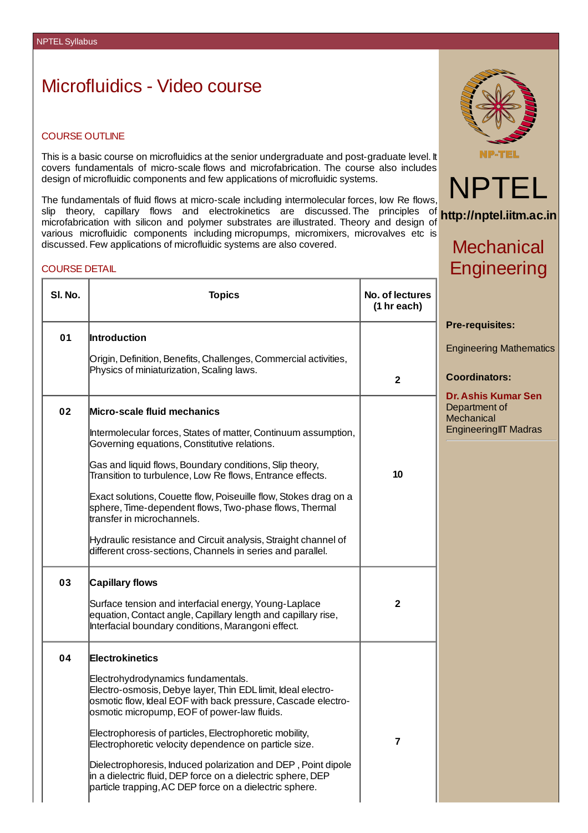## Microfluidics - Video course

## COURSE OUTLINE

This is a basic course on microfluidics at the senior undergraduate and post-graduate level. It covers fundamentals of micro-scale flows and microfabrication. The course also includes design of microfluidic components and few applications of microfluidic systems.

The fundamentals of fluid flows at micro-scale including intermolecular forces, low Re flows, slip theory, capillary flows and electrokinetics are discussed. The principles of slip theory, capillary flows and electrokinetics are discussed.The principles of **http://nptel.iitm.ac.in**<br>microfabrication-with-silicon-and-polymer-substrates-are-illustrated.Theory-and-design-ofvarious microfluidic components including micropumps, micromixers, microvalves etc is discussed. Few applications of microfluidic systems are also covered.

#### COURSE DETAIL

| SI. No. | <b>Topics</b>                                                                                                                                                                                                     | No. of lectures<br>(1 hr each) |
|---------|-------------------------------------------------------------------------------------------------------------------------------------------------------------------------------------------------------------------|--------------------------------|
| 01      | <b>Introduction</b>                                                                                                                                                                                               |                                |
|         | Origin, Definition, Benefits, Challenges, Commercial activities,<br>Physics of miniaturization, Scaling laws.                                                                                                     | $\mathbf{2}$                   |
| 02      | Micro-scale fluid mechanics                                                                                                                                                                                       |                                |
|         | Intermolecular forces, States of matter, Continuum assumption,<br>Governing equations, Constitutive relations.                                                                                                    |                                |
|         | Gas and liquid flows, Boundary conditions, Slip theory,<br>Transition to turbulence, Low Re flows, Entrance effects.                                                                                              | 10                             |
|         | Exact solutions, Couette flow, Poiseuille flow, Stokes drag on a<br>sphere, Time-dependent flows, Two-phase flows, Thermal<br>transfer in microchannels.                                                          |                                |
|         | Hydraulic resistance and Circuit analysis, Straight channel of<br>different cross-sections, Channels in series and parallel.                                                                                      |                                |
| 03      | <b>Capillary flows</b>                                                                                                                                                                                            |                                |
|         | Surface tension and interfacial energy, Young-Laplace<br>equation, Contact angle, Capillary length and capillary rise,<br>Interfacial boundary conditions, Marangoni effect.                                      | $\mathbf{2}$                   |
| 04      | <b>Electrokinetics</b>                                                                                                                                                                                            |                                |
|         | Electrohydrodynamics fundamentals.<br>Electro-osmosis, Debye layer, Thin EDL limit, Ideal electro-<br>osmotic flow, Ideal EOF with back pressure, Cascade electro-<br>osmotic micropump, EOF of power-law fluids. |                                |
|         | Electrophoresis of particles, Electrophoretic mobility,<br>Electrophoretic velocity dependence on particle size.                                                                                                  | 7                              |
|         | Dielectrophoresis, Induced polarization and DEP, Point dipole<br>in a dielectric fluid, DEP force on a dielectric sphere, DEP<br>particle trapping, AC DEP force on a dielectric sphere.                          |                                |



NPTEL

# **Mechanical Engineering**

**Pre-requisites:**

Engineering Mathematics

### **Coordinators:**

**Dr. Ashis Kumar Sen** Department of **Mechanical** EngineeringIIT Madras